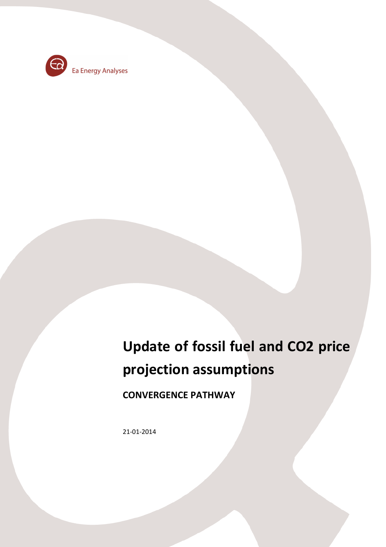

# **Update of fossil fuel and CO2 price projection assumptions**

**CONVERGENCE PATHWAY** 

21-01-2014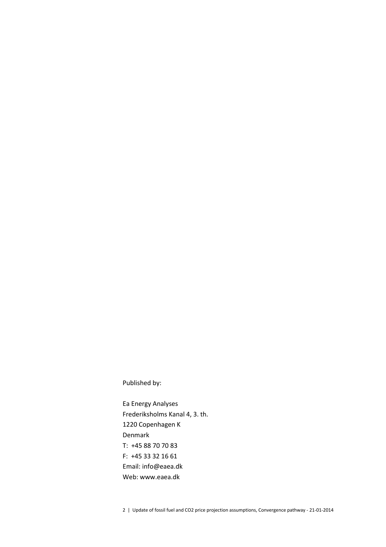### Published by:

Ea Energy Analyses Frederiksholms Kanal 4, 3. th. 1220 Copenhagen K Denmark T: +45 88 70 70 83 F: +45 33 32 16 61 Email: info@eaea.dk Web: www.eaea.dk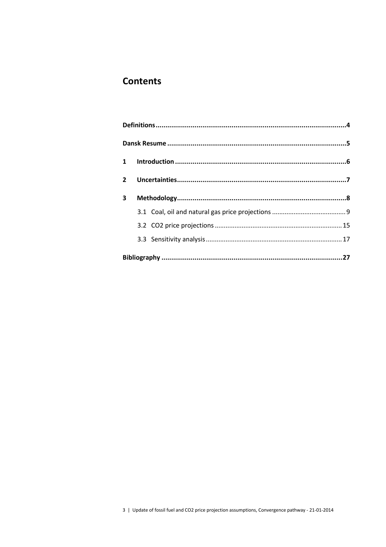# **Contents**

| $2^{\circ}$ |  |  |  |  |  |  |  |  |
|-------------|--|--|--|--|--|--|--|--|
| 3           |  |  |  |  |  |  |  |  |
|             |  |  |  |  |  |  |  |  |
|             |  |  |  |  |  |  |  |  |
|             |  |  |  |  |  |  |  |  |
|             |  |  |  |  |  |  |  |  |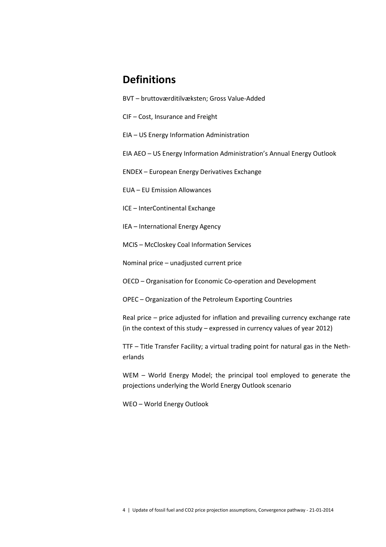# **Definitions**

- BVT bruttoværditilvæksten; Gross Value-Added
- CIF Cost, Insurance and Freight
- EIA US Energy Information Administration
- EIA AEO US Energy Information Administration's Annual Energy Outlook
- ENDEX European Energy Derivatives Exchange
- EUA EU Emission Allowances
- ICE InterContinental Exchange
- IEA International Energy Agency
- MCIS McCloskey Coal Information Services
- Nominal price unadjusted current price
- OECD Organisation for Economic Co-operation and Development
- OPEC Organization of the Petroleum Exporting Countries
- Real price price adjusted for inflation and prevailing currency exchange rate (in the context of this study – expressed in currency values of year 2012)
- TTF Title Transfer Facility; a virtual trading point for natural gas in the Netherlands
- WEM World Energy Model; the principal tool employed to generate the projections underlying the World Energy Outlook scenario
- WEO World Energy Outlook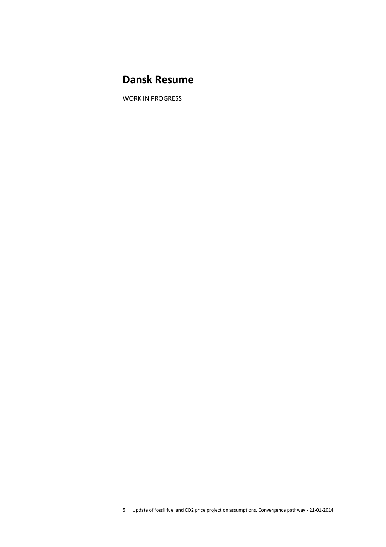# **Dansk Resume**

WORK IN PROGRESS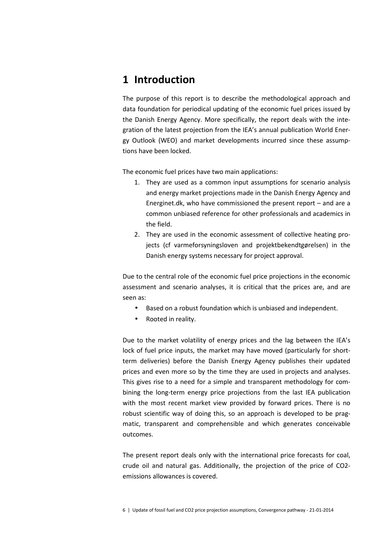# **1 Introduction**

The purpose of this report is to describe the methodological approach and data foundation for periodical updating of the economic fuel prices issued by the Danish Energy Agency. More specifically, the report deals with the integration of the latest projection from the IEA's annual publication World Energy Outlook (WEO) and market developments incurred since these assumptions have been locked.

The economic fuel prices have two main applications:

- 1. They are used as a common input assumptions for scenario analysis and energy market projections made in the Danish Energy Agency and Energinet.dk, who have commissioned the present report – and are a common unbiased reference for other professionals and academics in the field.
- 2. They are used in the economic assessment of collective heating projects (cf varmeforsyningsloven and projektbekendtgørelsen) in the Danish energy systems necessary for project approval.

Due to the central role of the economic fuel price projections in the economic assessment and scenario analyses, it is critical that the prices are, and are seen as:

- Based on a robust foundation which is unbiased and independent.
- Rooted in reality.

Due to the market volatility of energy prices and the lag between the IEA's lock of fuel price inputs, the market may have moved (particularly for shortterm deliveries) before the Danish Energy Agency publishes their updated prices and even more so by the time they are used in projects and analyses. This gives rise to a need for a simple and transparent methodology for combining the long-term energy price projections from the last IEA publication with the most recent market view provided by forward prices. There is no robust scientific way of doing this, so an approach is developed to be pragmatic, transparent and comprehensible and which generates conceivable outcomes.

The present report deals only with the international price forecasts for coal, crude oil and natural gas. Additionally, the projection of the price of CO2 emissions allowances is covered.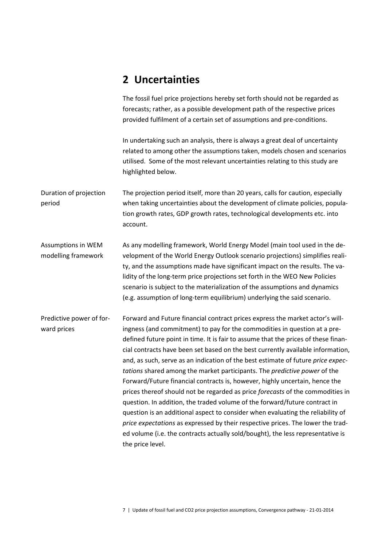# **2 Uncertainties**

The fossil fuel price projections hereby set forth should not be regarded as forecasts; rather, as a possible development path of the respective prices provided fulfilment of a certain set of assumptions and pre-conditions.

In undertaking such an analysis, there is always a great deal of uncertainty related to among other the assumptions taken, models chosen and scenarios utilised. Some of the most relevant uncertainties relating to this study are highlighted below.

The projection period itself, more than 20 years, calls for caution, especially when taking uncertainties about the development of climate policies, population growth rates, GDP growth rates, technological developments etc. into account. Duration of projection period

As any modelling framework, World Energy Model (main tool used in the development of the World Energy Outlook scenario projections) simplifies reality, and the assumptions made have significant impact on the results. The validity of the long-term price projections set forth in the WEO New Policies scenario is subject to the materialization of the assumptions and dynamics (e.g. assumption of long-term equilibrium) underlying the said scenario. Assumptions in WEM modelling framework

Forward and Future financial contract prices express the market actor's willingness (and commitment) to pay for the commodities in question at a predefined future point in time. It is fair to assume that the prices of these financial contracts have been set based on the best currently available information, and, as such, serve as an indication of the best estimate of future *price expectations* shared among the market participants. The *predictive power* of the Forward/Future financial contracts is, however, highly uncertain, hence the prices thereof should not be regarded as price *forecasts* of the commodities in question. In addition, the traded volume of the forward/future contract in question is an additional aspect to consider when evaluating the reliability of *price expectations* as expressed by their respective prices. The lower the traded volume (i.e. the contracts actually sold/bought), the less representative is the price level. Predictive power of forward prices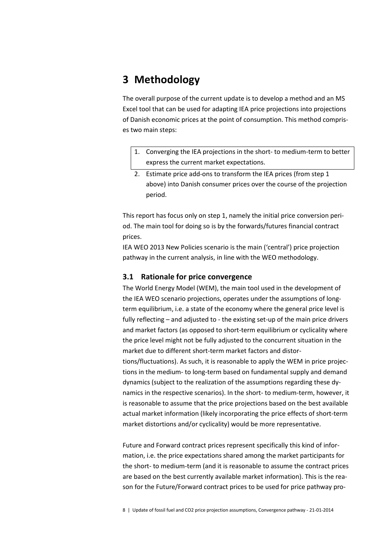# **3 Methodology**

The overall purpose of the current update is to develop a method and an MS Excel tool that can be used for adapting IEA price projections into projections of Danish economic prices at the point of consumption. This method comprises two main steps:

- 1. Converging the IEA projections in the short- to medium-term to better express the current market expectations.
- 2. Estimate price add-ons to transform the IEA prices (from step 1 above) into Danish consumer prices over the course of the projection period.

This report has focus only on step 1, namely the initial price conversion period. The main tool for doing so is by the forwards/futures financial contract prices.

IEA WEO 2013 New Policies scenario is the main ('central') price projection pathway in the current analysis, in line with the WEO methodology.

### **3.1 Rationale for price convergence**

The World Energy Model (WEM), the main tool used in the development of the IEA WEO scenario projections, operates under the assumptions of longterm equilibrium, i.e. a state of the economy where the general price level is fully reflecting – and adjusted to - the existing set-up of the main price drivers and market factors (as opposed to short-term equilibrium or cyclicality where the price level might not be fully adjusted to the concurrent situation in the market due to different short-term market factors and distor-

tions/fluctuations). As such, it is reasonable to apply the WEM in price projections in the medium- to long-term based on fundamental supply and demand dynamics (subject to the realization of the assumptions regarding these dynamics in the respective scenarios). In the short- to medium-term, however, it is reasonable to assume that the price projections based on the best available actual market information (likely incorporating the price effects of short-term market distortions and/or cyclicality) would be more representative.

Future and Forward contract prices represent specifically this kind of information, i.e. the price expectations shared among the market participants for the short- to medium-term (and it is reasonable to assume the contract prices are based on the best currently available market information). This is the reason for the Future/Forward contract prices to be used for price pathway pro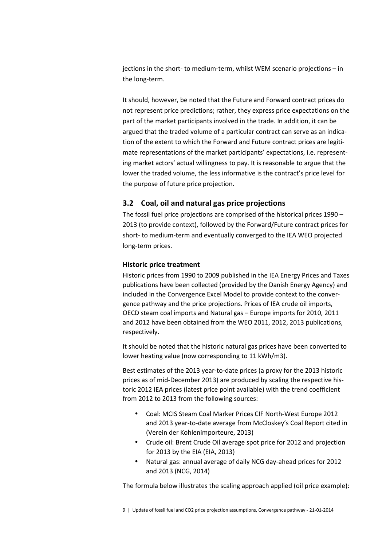jections in the short- to medium-term, whilst WEM scenario projections – in the long-term.

It should, however, be noted that the Future and Forward contract prices do not represent price predictions; rather, they express price expectations on the part of the market participants involved in the trade. In addition, it can be argued that the traded volume of a particular contract can serve as an indication of the extent to which the Forward and Future contract prices are legitimate representations of the market participants' expectations, i.e. representing market actors' actual willingness to pay. It is reasonable to argue that the lower the traded volume, the less informative is the contract's price level for the purpose of future price projection.

### **3.2 Coal, oil and natural gas price projections**

The fossil fuel price projections are comprised of the historical prices 1990 – 2013 (to provide context), followed by the Forward/Future contract prices for short- to medium-term and eventually converged to the IEA WEO projected long-term prices.

#### **Historic price treatment**

Historic prices from 1990 to 2009 published in the IEA Energy Prices and Taxes publications have been collected (provided by the Danish Energy Agency) and included in the Convergence Excel Model to provide context to the convergence pathway and the price projections. Prices of IEA crude oil imports, OECD steam coal imports and Natural gas – Europe imports for 2010, 2011 and 2012 have been obtained from the WEO 2011, 2012, 2013 publications, respectively.

It should be noted that the historic natural gas prices have been converted to lower heating value (now corresponding to 11 kWh/m3).

Best estimates of the 2013 year-to-date prices (a proxy for the 2013 historic prices as of mid-December 2013) are produced by scaling the respective historic 2012 IEA prices (latest price point available) with the trend coefficient from 2012 to 2013 from the following sources:

- Coal: MCIS Steam Coal Marker Prices CIF North-West Europe 2012 and 2013 year-to-date average from McCloskey's Coal Report cited in (Verein der Kohlenimporteure, 2013)
- Crude oil: Brent Crude Oil average spot price for 2012 and projection for 2013 by the EIA (EIA, 2013)
- Natural gas: annual average of daily NCG day-ahead prices for 2012 and 2013 (NCG, 2014)

The formula below illustrates the scaling approach applied (oil price example):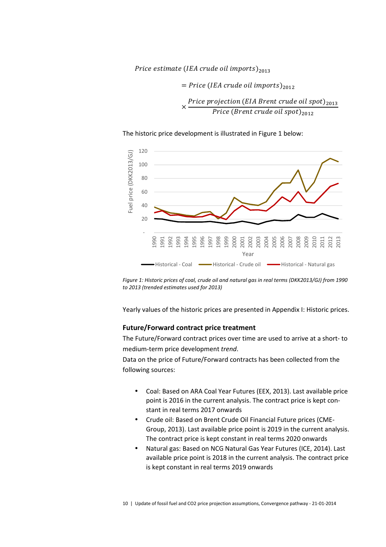### Price estimate (IEA crude oil imports)<sub>2013</sub>

 $=$  Price (IEA crude oil imports)<sub>2012</sub>

× Price projection (EIA Brent crude oil spot)<sub>2013</sub> Price (Brent crude oil spot)<sub>2012</sub>

The historic price development is illustrated in Figure 1 below:



*Figure 1: Historic prices of coal, crude oil and natural gas in real terms (DKK2013/GJ) from 1990 to 2013 (trended estimates used for 2013)* 

Yearly values of the historic prices are presented in Appendix I: Historic prices.

#### **Future/Forward contract price treatment**

The Future/Forward contract prices over time are used to arrive at a short- to medium-term price development *trend*.

Data on the price of Future/Forward contracts has been collected from the following sources:

- Coal: Based on ARA Coal Year Futures (EEX, 2013). Last available price point is 2016 in the current analysis. The contract price is kept constant in real terms 2017 onwards
- Crude oil: Based on Brent Crude Oil Financial Future prices (CME-Group, 2013). Last available price point is 2019 in the current analysis. The contract price is kept constant in real terms 2020 onwards
- Natural gas: Based on NCG Natural Gas Year Futures (ICE, 2014). Last available price point is 2018 in the current analysis. The contract price is kept constant in real terms 2019 onwards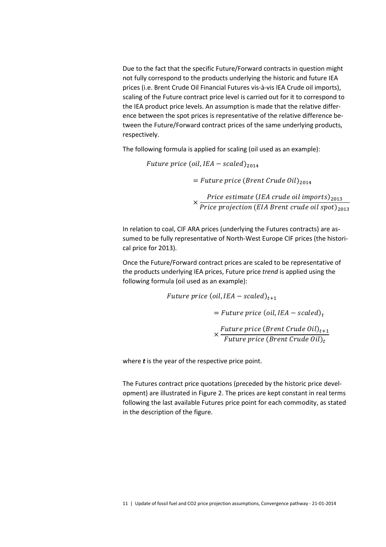Due to the fact that the specific Future/Forward contracts in question might not fully correspond to the products underlying the historic and future IEA prices (i.e. Brent Crude Oil Financial Futures vis-à-vis IEA Crude oil imports), scaling of the Future contract price level is carried out for it to correspond to the IEA product price levels. An assumption is made that the relative difference between the spot prices is representative of the relative difference between the Future/Forward contract prices of the same underlying products, respectively.

The following formula is applied for scaling (oil used as an example):

Future price (oil, IEA  $-$  scaled) $_{\rm 2014}$ 

= Future price (Brent Crude Oil)<sub>2014</sub>

× Price estimate (IEA crude oil imports)<sub>2013</sub> Price projection (EIA Brent crude oil spot)<sub>2013</sub>

In relation to coal, CIF ARA prices (underlying the Futures contracts) are assumed to be fully representative of North-West Europe CIF prices (the historical price for 2013).

Once the Future/Forward contract prices are scaled to be representative of the products underlying IEA prices, Future price *trend* is applied using the following formula (oil used as an example):

> Future price (oil, IEA  $-$  scaled) $_{t+1}$  $=$  Future price (oil, IEA  $-$  scaled)<sub>t</sub> × Future price (Brent Crude Oil) $_{t+1}$ Future price (Brent Crude Oil) $_{\rm t}$

where *t* is the year of the respective price point.

The Futures contract price quotations (preceded by the historic price development) are illustrated in Figure 2. The prices are kept constant in real terms following the last available Futures price point for each commodity, as stated in the description of the figure.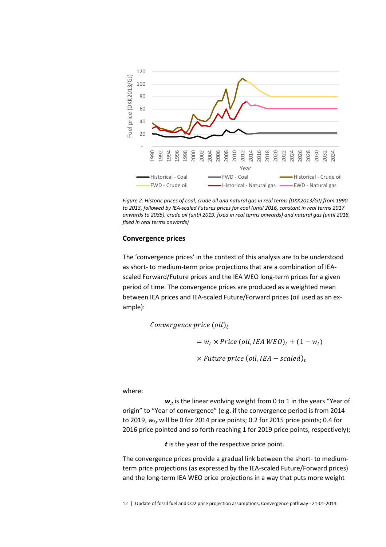

*Figure 2: Historic prices of coal, crude oil and natural gas in real terms (DKK2013/GJ) from 1990 to 2013, followed by IEA-scaled Futures prices for coal (until 2016, constant in real terms 2017 onwards to 2035), crude oil (until 2019, fixed in real terms onwards) and natural gas (until 2018, fixed in real terms onwards)* 

#### **Convergence prices**

The 'convergence prices' in the context of this analysis are to be understood as short- to medium-term price projections that are a combination of IEAscaled Forward/Future prices and the IEA WEO long-term prices for a given period of time. The convergence prices are produced as a weighted mean between IEA prices and IEA-scaled Future/Forward prices (oil used as an example):

> Convergence price  $\left(\text{oil}\right)_t$  $= w_t \times Price$  (oil, IEA WEO)<sub>t</sub> + (1 – w<sub>t</sub>)  $\times$  Future price (oil, IEA  $-$  scaled)<sub>t</sub>

where:

 $w_t$  is the linear evolving weight from 0 to 1 in the years "Year of origin" to "Year of convergence" (e.g. if the convergence period is from 2014 to 2019, *wf,t* will be 0 for 2014 price points; 0.2 for 2015 price points; 0.4 for 2016 price pointed and so forth reaching 1 for 2019 price points, respectively);

*t* is the year of the respective price point.

The convergence prices provide a gradual link between the short- to mediumterm price projections (as expressed by the IEA-scaled Future/Forward prices) and the long-term IEA WEO price projections in a way that puts more weight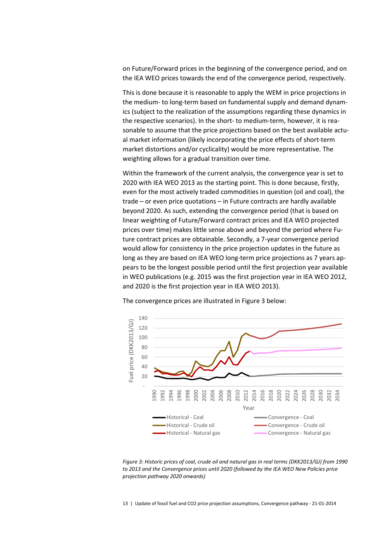on Future/Forward prices in the beginning of the convergence period, and on the IEA WEO prices towards the end of the convergence period, respectively.

This is done because it is reasonable to apply the WEM in price projections in the medium- to long-term based on fundamental supply and demand dynamics (subject to the realization of the assumptions regarding these dynamics in the respective scenarios). In the short- to medium-term, however, it is reasonable to assume that the price projections based on the best available actual market information (likely incorporating the price effects of short-term market distortions and/or cyclicality) would be more representative. The weighting allows for a gradual transition over time.

Within the framework of the current analysis, the convergence year is set to 2020 with IEA WEO 2013 as the starting point. This is done because, firstly, even for the most actively traded commodities in question (oil and coal), the trade – or even price quotations – in Future contracts are hardly available beyond 2020. As such, extending the convergence period (that is based on linear weighting of Future/Forward contract prices and IEA WEO projected prices over time) makes little sense above and beyond the period where Future contract prices are obtainable. Secondly, a 7-year convergence period would allow for consistency in the price projection updates in the future as long as they are based on IEA WEO long-term price projections as 7 years appears to be the longest possible period until the first projection year available in WEO publications (e.g. 2015 was the first projection year in IEA WEO 2012, and 2020 is the first projection year in IEA WEO 2013).



The convergence prices are illustrated in Figure 3 below:

*Figure 3: Historic prices of coal, crude oil and natural gas in real terms (DKK2013/GJ) from 1990 to 2013 and the Convergence prices until 2020 (followed by the IEA WEO New Policies price projection pathway 2020 onwards)* 

13 | Update of fossil fuel and CO2 price projection assumptions, Convergence pathway - 21-01-2014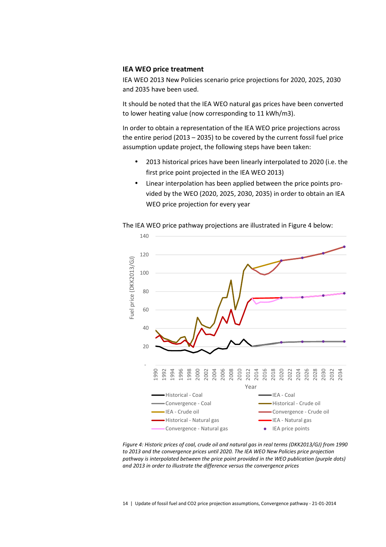#### **IEA WEO price treatment**

IEA WEO 2013 New Policies scenario price projections for 2020, 2025, 2030 and 2035 have been used.

It should be noted that the IEA WEO natural gas prices have been converted to lower heating value (now corresponding to 11 kWh/m3).

In order to obtain a representation of the IEA WEO price projections across the entire period (2013 – 2035) to be covered by the current fossil fuel price assumption update project, the following steps have been taken:

- 2013 historical prices have been linearly interpolated to 2020 (i.e. the first price point projected in the IEA WEO 2013)
- Linear interpolation has been applied between the price points provided by the WEO (2020, 2025, 2030, 2035) in order to obtain an IEA WEO price projection for every year



The IEA WEO price pathway projections are illustrated in Figure 4 below:

*Figure 4: Historic prices of coal, crude oil and natural gas in real terms (DKK2013/GJ) from 1990 to 2013 and the convergence prices until 2020. The IEA WEO New Policies price projection pathway is interpolated between the price point provided in the WEO publication (purple dots) and 2013 in order to illustrate the difference versus the convergence prices*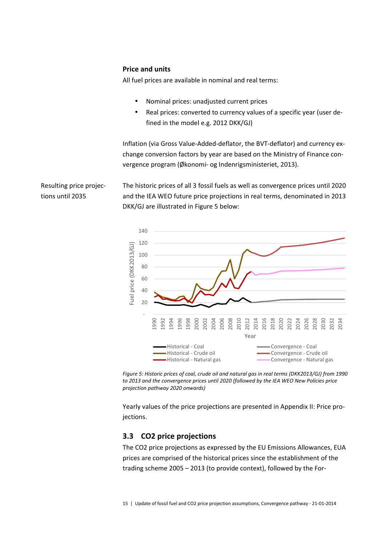#### **Price and units**

Resulting price projec-

tions until 2035

All fuel prices are available in nominal and real terms:

- Nominal prices: unadjusted current prices
- Real prices: converted to currency values of a specific year (user defined in the model e.g. 2012 DKK/GJ)

Inflation (via Gross Value-Added-deflator, the BVT-deflator) and currency exchange conversion factors by year are based on the Ministry of Finance convergence program (Økonomi- og Indenrigsministeriet, 2013).

The historic prices of all 3 fossil fuels as well as convergence prices until 2020 and the IEA WEO future price projections in real terms, denominated in 2013 DKK/GJ are illustrated in Figure 5 below:





Yearly values of the price projections are presented in Appendix II: Price projections.

#### **3.3 CO2 price projections**

The CO2 price projections as expressed by the EU Emissions Allowances, EUA prices are comprised of the historical prices since the establishment of the trading scheme 2005 – 2013 (to provide context), followed by the For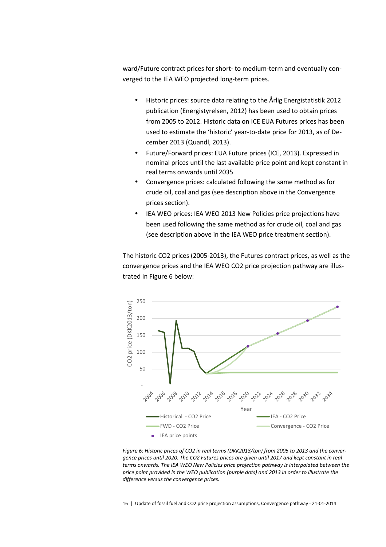ward/Future contract prices for short- to medium-term and eventually converged to the IEA WEO projected long-term prices.

- Historic prices: source data relating to the Årlig Energistatistik 2012 publication (Energistyrelsen, 2012) has been used to obtain prices from 2005 to 2012. Historic data on ICE EUA Futures prices has been used to estimate the 'historic' year-to-date price for 2013, as of December 2013 (Quandl, 2013).
- Future/Forward prices: EUA Future prices (ICE, 2013). Expressed in nominal prices until the last available price point and kept constant in real terms onwards until 2035
- Convergence prices: calculated following the same method as for crude oil, coal and gas (see description above in the Convergence prices section).
- IEA WEO prices: IEA WEO 2013 New Policies price projections have been used following the same method as for crude oil, coal and gas (see description above in the IEA WEO price treatment section).

The historic CO2 prices (2005-2013), the Futures contract prices, as well as the convergence prices and the IEA WEO CO2 price projection pathway are illustrated in Figure 6 below:



*Figure 6: Historic prices of CO2 in real terms (DKK2013/ton) from 2005 to 2013 and the convergence prices until 2020. The CO2 Futures prices are given until 2017 and kept constant in real terms onwards. The IEA WEO New Policies price projection pathway is interpolated between the price point provided in the WEO publication (purple dots) and 2013 in order to illustrate the difference versus the convergence prices.* 

16 | Update of fossil fuel and CO2 price projection assumptions, Convergence pathway - 21-01-2014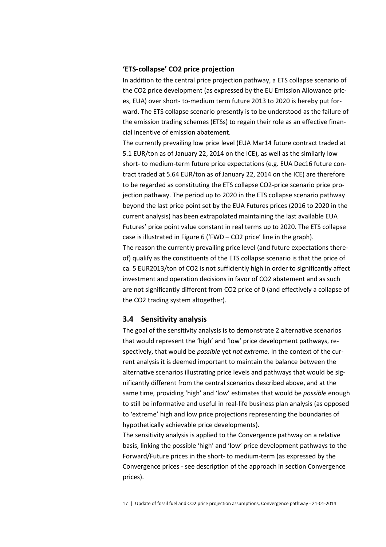#### **'ETS-collapse' CO2 price projection**

In addition to the central price projection pathway, a ETS collapse scenario of the CO2 price development (as expressed by the EU Emission Allowance prices, EUA) over short- to-medium term future 2013 to 2020 is hereby put forward. The ETS collapse scenario presently is to be understood as the failure of the emission trading schemes (ETSs) to regain their role as an effective financial incentive of emission abatement.

The currently prevailing low price level (EUA Mar14 future contract traded at 5.1 EUR/ton as of January 22, 2014 on the ICE), as well as the similarly low short- to medium-term future price expectations (e.g. EUA Dec16 future contract traded at 5.64 EUR/ton as of January 22, 2014 on the ICE) are therefore to be regarded as constituting the ETS collapse CO2-price scenario price projection pathway. The period up to 2020 in the ETS collapse scenario pathway beyond the last price point set by the EUA Futures prices (2016 to 2020 in the current analysis) has been extrapolated maintaining the last available EUA Futures' price point value constant in real terms up to 2020. The ETS collapse case is illustrated in Figure 6 ('FWD – CO2 price' line in the graph). The reason the currently prevailing price level (and future expectations thereof) qualify as the constituents of the ETS collapse scenario is that the price of ca. 5 EUR2013/ton of CO2 is not sufficiently high in order to significantly affect investment and operation decisions in favor of CO2 abatement and as such are not significantly different from CO2 price of 0 (and effectively a collapse of the CO2 trading system altogether).

#### **3.4 Sensitivity analysis**

The goal of the sensitivity analysis is to demonstrate 2 alternative scenarios that would represent the 'high' and 'low' price development pathways, respectively, that would be *possible* yet *not extreme*. In the context of the current analysis it is deemed important to maintain the balance between the alternative scenarios illustrating price levels and pathways that would be significantly different from the central scenarios described above, and at the same time, providing 'high' and 'low' estimates that would be *possible* enough to still be informative and useful in real-life business plan analysis (as opposed to 'extreme' high and low price projections representing the boundaries of hypothetically achievable price developments).

The sensitivity analysis is applied to the Convergence pathway on a relative basis, linking the possible 'high' and 'low' price development pathways to the Forward/Future prices in the short- to medium-term (as expressed by the Convergence prices - see description of the approach in section Convergence prices).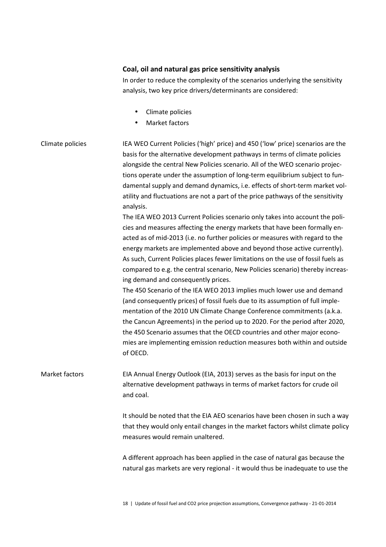#### **Coal, oil and natural gas price sensitivity analysis**

In order to reduce the complexity of the scenarios underlying the sensitivity analysis, two key price drivers/determinants are considered:

- Climate policies
- Market factors

### IEA WEO Current Policies ('high' price) and 450 ('low' price) scenarios are the basis for the alternative development pathways in terms of climate policies alongside the central New Policies scenario. All of the WEO scenario projections operate under the assumption of long-term equilibrium subject to fundamental supply and demand dynamics, i.e. effects of short-term market volatility and fluctuations are not a part of the price pathways of the sensitivity analysis. Climate policies

The IEA WEO 2013 Current Policies scenario only takes into account the policies and measures affecting the energy markets that have been formally enacted as of mid-2013 (i.e. no further policies or measures with regard to the energy markets are implemented above and beyond those active currently). As such, Current Policies places fewer limitations on the use of fossil fuels as compared to e.g. the central scenario, New Policies scenario) thereby increasing demand and consequently prices.

The 450 Scenario of the IEA WEO 2013 implies much lower use and demand (and consequently prices) of fossil fuels due to its assumption of full implementation of the 2010 UN Climate Change Conference commitments (a.k.a. the Cancun Agreements) in the period up to 2020. For the period after 2020, the 450 Scenario assumes that the OECD countries and other major economies are implementing emission reduction measures both within and outside of OECD.

EIA Annual Energy Outlook (EIA, 2013) serves as the basis for input on the alternative development pathways in terms of market factors for crude oil and coal. Market factors

> It should be noted that the EIA AEO scenarios have been chosen in such a way that they would only entail changes in the market factors whilst climate policy measures would remain unaltered.

> A different approach has been applied in the case of natural gas because the natural gas markets are very regional - it would thus be inadequate to use the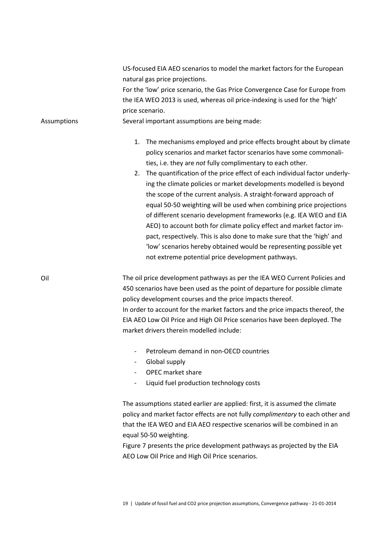| <b>Assumptions</b> | US-focused EIA AEO scenarios to model the market factors for the European<br>natural gas price projections.<br>For the 'low' price scenario, the Gas Price Convergence Case for Europe from<br>the IEA WEO 2013 is used, whereas oil price-indexing is used for the 'high'<br>price scenario.<br>Several important assumptions are being made:                                                                                                                                                                                                                                                                                                                                                                                                                                                                                                                   |
|--------------------|------------------------------------------------------------------------------------------------------------------------------------------------------------------------------------------------------------------------------------------------------------------------------------------------------------------------------------------------------------------------------------------------------------------------------------------------------------------------------------------------------------------------------------------------------------------------------------------------------------------------------------------------------------------------------------------------------------------------------------------------------------------------------------------------------------------------------------------------------------------|
|                    | The mechanisms employed and price effects brought about by climate<br>1.<br>policy scenarios and market factor scenarios have some commonali-<br>ties, i.e. they are not fully complimentary to each other.<br>2. The quantification of the price effect of each individual factor underly-<br>ing the climate policies or market developments modelled is beyond<br>the scope of the current analysis. A straight-forward approach of<br>equal 50-50 weighting will be used when combining price projections<br>of different scenario development frameworks (e.g. IEA WEO and EIA<br>AEO) to account both for climate policy effect and market factor im-<br>pact, respectively. This is also done to make sure that the 'high' and<br>'low' scenarios hereby obtained would be representing possible yet<br>not extreme potential price development pathways. |
| Oil                | The oil price development pathways as per the IEA WEO Current Policies and<br>450 scenarios have been used as the point of departure for possible climate<br>policy development courses and the price impacts thereof.<br>In order to account for the market factors and the price impacts thereof, the<br>EIA AEO Low Oil Price and High Oil Price scenarios have been deployed. The<br>market drivers therein modelled include:                                                                                                                                                                                                                                                                                                                                                                                                                                |
|                    | Petroleum demand in non-OECD countries<br>Global supply<br><b>OPEC</b> market share<br>Liquid fuel production technology costs                                                                                                                                                                                                                                                                                                                                                                                                                                                                                                                                                                                                                                                                                                                                   |
|                    | The assumptions stated earlier are applied: first, it is assumed the climate<br>policy and market factor effects are not fully complimentary to each other and<br>that the IEA WEO and EIA AEO respective scenarios will be combined in an<br>equal 50-50 weighting.<br>Figure 7 presents the price development pathways as projected by the EIA<br>AEO Low Oil Price and High Oil Price scenarios.                                                                                                                                                                                                                                                                                                                                                                                                                                                              |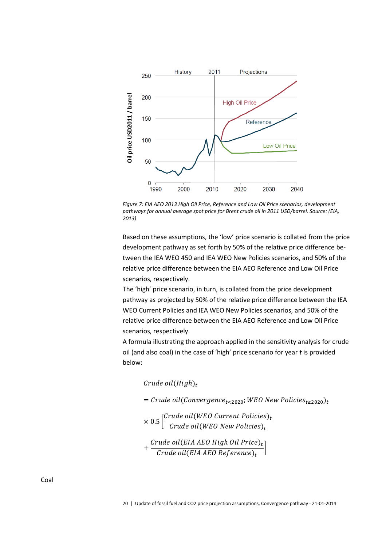

*Figure 7: EIA AEO 2013 High Oil Price, Reference and Low Oil Price scenarios, development pathways for annual average spot price for Brent crude oil in 2011 USD/barrel. Source: (EIA, 2013)* 

Based on these assumptions, the 'low' price scenario is collated from the price development pathway as set forth by 50% of the relative price difference between the IEA WEO 450 and IEA WEO New Policies scenarios, and 50% of the relative price difference between the EIA AEO Reference and Low Oil Price scenarios, respectively.

The 'high' price scenario, in turn, is collated from the price development pathway as projected by 50% of the relative price difference between the IEA WEO Current Policies and IEA WEO New Policies scenarios, and 50% of the relative price difference between the EIA AEO Reference and Low Oil Price scenarios, respectively.

A formula illustrating the approach applied in the sensitivity analysis for crude oil (and also coal) in the case of 'high' price scenario for year *t* is provided below:

Crude oil $\left(High\right)_{t}$ 

= Crude oil(Convergence<sub>t<2020</sub>;WEO New Policies<sub>t≥2020</sub>)<sub>t</sub>

$$
\times 0.5 \left[ \frac{\text{Crude oil}(\text{WEO Current Politics})_t}{\text{Crude oil}(\text{WEO New Politics})_t} \right]
$$

$$
+\frac{\textit{Crude oil(EIA AEO High Oil Price)}_t}{\textit{Crude oil(EIA AEO Reference)}_t}\bigg]
$$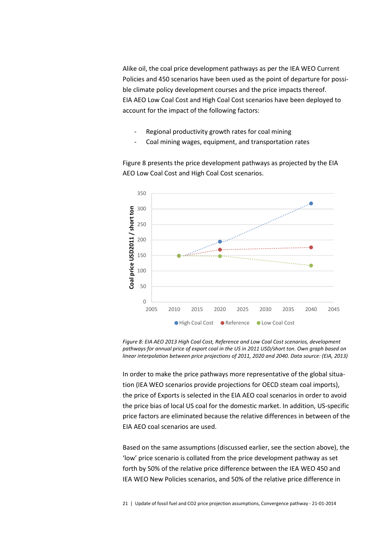Alike oil, the coal price development pathways as per the IEA WEO Current Policies and 450 scenarios have been used as the point of departure for possible climate policy development courses and the price impacts thereof. EIA AEO Low Coal Cost and High Coal Cost scenarios have been deployed to account for the impact of the following factors:

- Regional productivity growth rates for coal mining
- Coal mining wages, equipment, and transportation rates

Figure 8 presents the price development pathways as projected by the EIA AEO Low Coal Cost and High Coal Cost scenarios.



*Figure 8: EIA AEO 2013 High Coal Cost, Reference and Low Coal Cost scenarios, development pathways for annual price of export coal in the US in 2011 USD/short ton. Own graph based on linear interpolation between price projections of 2011, 2020 and 2040. Data source: (EIA, 2013)* 

In order to make the price pathways more representative of the global situation (IEA WEO scenarios provide projections for OECD steam coal imports), the price of Exports is selected in the EIA AEO coal scenarios in order to avoid the price bias of local US coal for the domestic market. In addition, US-specific price factors are eliminated because the relative differences in between of the EIA AEO coal scenarios are used.

Based on the same assumptions (discussed earlier, see the section above), the 'low' price scenario is collated from the price development pathway as set forth by 50% of the relative price difference between the IEA WEO 450 and IEA WEO New Policies scenarios, and 50% of the relative price difference in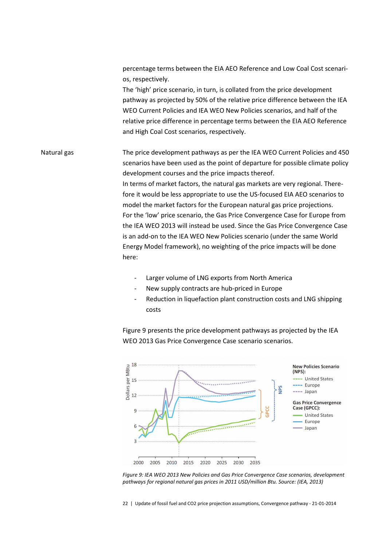percentage terms between the EIA AEO Reference and Low Coal Cost scenarios, respectively.

The 'high' price scenario, in turn, is collated from the price development pathway as projected by 50% of the relative price difference between the IEA WEO Current Policies and IEA WEO New Policies scenarios, and half of the relative price difference in percentage terms between the EIA AEO Reference and High Coal Cost scenarios, respectively.

The price development pathways as per the IEA WEO Current Policies and 450 scenarios have been used as the point of departure for possible climate policy development courses and the price impacts thereof. In terms of market factors, the natural gas markets are very regional. Therefore it would be less appropriate to use the US-focused EIA AEO scenarios to model the market factors for the European natural gas price projections. For the 'low' price scenario, the Gas Price Convergence Case for Europe from the IEA WEO 2013 will instead be used. Since the Gas Price Convergence Case is an add-on to the IEA WEO New Policies scenario (under the same World Energy Model framework), no weighting of the price impacts will be done here: Natural gas

- Larger volume of LNG exports from North America
- New supply contracts are hub-priced in Europe
- Reduction in liquefaction plant construction costs and LNG shipping costs

Figure 9 presents the price development pathways as projected by the IEA WEO 2013 Gas Price Convergence Case scenario scenarios.



*Figure 9: IEA WEO 2013 New Policies and Gas Price Convergence Case scenarios, development pathways for regional natural gas prices in 2011 USD/million Btu. Source: (IEA, 2013)* 

22 | Update of fossil fuel and CO2 price projection assumptions, Convergence pathway - 21-01-2014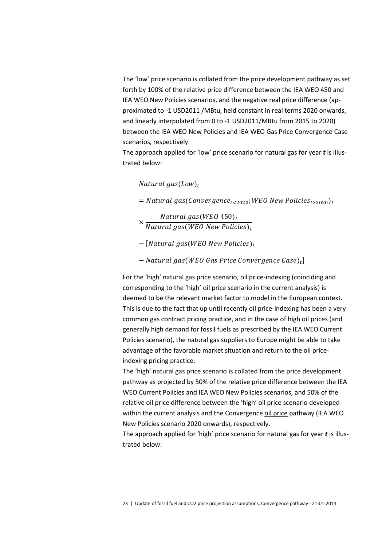The 'low' price scenario is collated from the price development pathway as set forth by 100% of the relative price difference between the IEA WEO 450 and IEA WEO New Policies scenarios, and the negative real price difference (approximated to -1 USD2011 /MBtu, held constant in real terms 2020 onwards, and linearly interpolated from 0 to -1 USD2011/MBtu from 2015 to 2020) between the IEA WEO New Policies and IEA WEO Gas Price Convergence Case scenarios, respectively.

The approach applied for 'low' price scenario for natural gas for year *t* is illustrated below:

Natural gas $\left($  Low $\right)_{t}$ 

 $=$  Natural gas(Convergence<sub>t<2020</sub>; WEO New Policies<sub>t≥2020</sub>)<sub>t</sub>

× Natural gas $(WEO\ 450)_t$ Natural gas(WEO New Policies)<sub>t</sub>

- $-$  [Natural gas(WEO New Policies) $_{t}$
- $-$  Natural gas(WEO Gas Price Convergence Case) $_t$ ]

For the 'high' natural gas price scenario, oil price-indexing (coinciding and corresponding to the 'high' oil price scenario in the current analysis) is deemed to be the relevant market factor to model in the European context. This is due to the fact that up until recently oil price-indexing has been a very common gas contract pricing practice, and in the case of high oil prices (and generally high demand for fossil fuels as prescribed by the IEA WEO Current Policies scenario), the natural gas suppliers to Europe might be able to take advantage of the favorable market situation and return to the oil priceindexing pricing practice.

The 'high' natural gas price scenario is collated from the price development pathway as projected by 50% of the relative price difference between the IEA WEO Current Policies and IEA WEO New Policies scenarios, and 50% of the relative oil price difference between the 'high' oil price scenario developed within the current analysis and the Convergence oil price pathway (IEA WEO New Policies scenario 2020 onwards), respectively.

The approach applied for 'high' price scenario for natural gas for year *t* is illustrated below: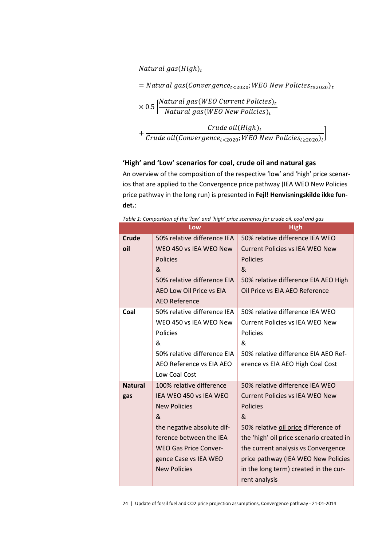Natural gas $\left(High\right)_{t}$ 

= Natural gas(Convergence<sub>t<2020</sub>;WEO New Policies<sub>t≥2020</sub>)<sub>t</sub>

$$
\times\ 0.5 \left[\frac{Natural\ gas(WEO\ Current\ Politics)_t}{Natural\ gas(WEO\ New\ Politics)_t}\right.
$$

+ Crude oil $\left(High\right)_{t}$  $\overline{\text{Crude oil}(Convergence_{t<2020};\text{WEO New Policy}_{t\ge2020})_t}$ 

### **'High' and 'Low' scenarios for coal, crude oil and natural gas**

An overview of the composition of the respective 'low' and 'high' price scenarios that are applied to the Convergence price pathway (IEA WEO New Policies price pathway in the long run) is presented in **Fejl! Henvisningskilde ikke fundet.**:

|                | Low                          | <b>High</b>                              |
|----------------|------------------------------|------------------------------------------|
| <b>Crude</b>   | 50% relative difference IEA  | 50% relative difference IEA WEO          |
| oil            | WEO 450 vs IEA WEO New       | <b>Current Policies vs IEA WEO New</b>   |
|                | <b>Policies</b>              | <b>Policies</b>                          |
|                | &                            | &                                        |
|                | 50% relative difference EIA  | 50% relative difference EIA AEO High     |
|                | AEO Low Oil Price vs EIA     | Oil Price vs EIA AEO Reference           |
|                | AEO Reference                |                                          |
| Coal           | 50% relative difference IEA  | 50% relative difference IEA WEO          |
|                | WEO 450 vs IEA WEO New       | Current Policies vs IEA WEO New          |
|                | Policies                     | Policies                                 |
|                | &                            | &                                        |
|                | 50% relative difference EIA  | 50% relative difference EIA AEO Ref-     |
|                | AEO Reference vs EIA AEO     | erence vs EIA AEO High Coal Cost         |
|                | Low Coal Cost                |                                          |
| <b>Natural</b> | 100% relative difference     | 50% relative difference IEA WEO          |
| gas            | IEA WEO 450 vs IEA WEO       | <b>Current Policies vs IEA WEO New</b>   |
|                | <b>New Policies</b>          | <b>Policies</b>                          |
|                | &                            | &                                        |
|                | the negative absolute dif-   | 50% relative oil price difference of     |
|                | ference between the IEA      | the 'high' oil price scenario created in |
|                | <b>WEO Gas Price Conver-</b> | the current analysis vs Convergence      |
|                | gence Case vs IEA WEO        | price pathway (IEA WEO New Policies      |
|                | <b>New Policies</b>          | in the long term) created in the cur-    |
|                |                              | rent analysis                            |

*Table 1: Composition of the 'low' and 'high' price scenarios for crude oil, coal and gas* 

24 | Update of fossil fuel and CO2 price projection assumptions, Convergence pathway - 21-01-2014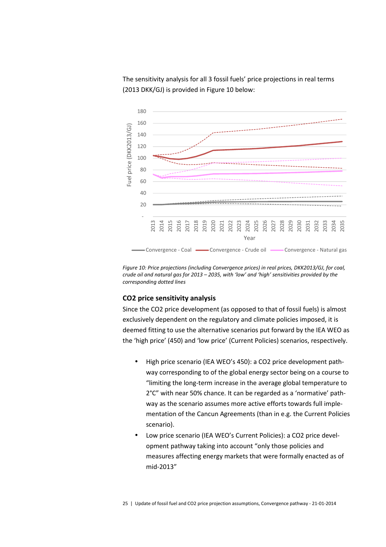The sensitivity analysis for all 3 fossil fuels' price projections in real terms (2013 DKK/GJ) is provided in Figure 10 below:



*Figure 10: Price projections (including Convergence prices) in real prices, DKK2013/GJ, for coal, crude oil and natural gas for 2013 – 2035, with 'low' and 'high' sensitivities provided by the corresponding dotted lines* 

#### **CO2 price sensitivity analysis**

Since the CO2 price development (as opposed to that of fossil fuels) is almost exclusively dependent on the regulatory and climate policies imposed, it is deemed fitting to use the alternative scenarios put forward by the IEA WEO as the 'high price' (450) and 'low price' (Current Policies) scenarios, respectively.

- High price scenario (IEA WEO's 450): a CO2 price development pathway corresponding to of the global energy sector being on a course to "limiting the long-term increase in the average global temperature to 2°C" with near 50% chance. It can be regarded as a 'normative' pathway as the scenario assumes more active efforts towards full implementation of the Cancun Agreements (than in e.g. the Current Policies scenario).
- Low price scenario (IEA WEO's Current Policies): a CO2 price development pathway taking into account "only those policies and measures affecting energy markets that were formally enacted as of mid-2013"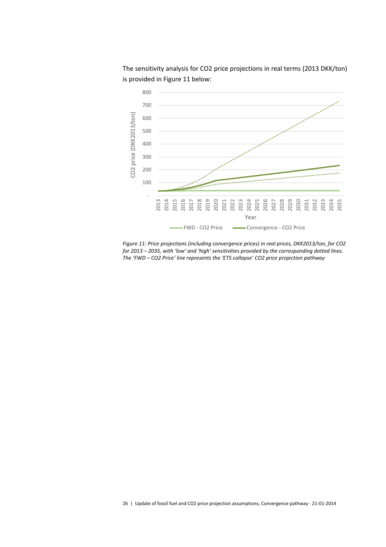

The sensitivity analysis for CO2 price projections in real terms (2013 DKK/ton) is provided in Figure 11 below:

*Figure 11: Price projections (including convergence prices) in real prices, DKK2013/ton, for CO2 for 2013 – 2035, with 'low' and 'high' sensitivities provided by the corresponding dotted lines. The 'FWD – CO2 Price' line represents the 'ETS collapse' CO2 price projection pathway*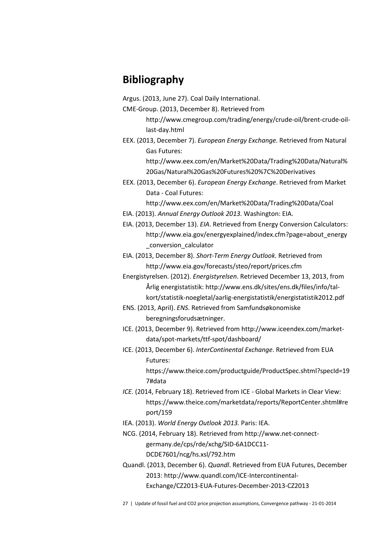# **Bibliography**

- Argus. (2013, June 27). Coal Daily International.
- CME-Group. (2013, December 8). Retrieved from

http://www.cmegroup.com/trading/energy/crude-oil/brent-crude-oillast-day.html

EEX. (2013, December 7). *European Energy Exchange.* Retrieved from Natural Gas Futures:

> http://www.eex.com/en/Market%20Data/Trading%20Data/Natural% 20Gas/Natural%20Gas%20Futures%20%7C%20Derivatives

EEX. (2013, December 6). *European Energy Exchange*. Retrieved from Market Data - Coal Futures:

- http://www.eex.com/en/Market%20Data/Trading%20Data/Coal
- EIA. (2013). *Annual Energy Outlook 2013.* Washington: EIA.
- EIA. (2013, December 13). *EIA*. Retrieved from Energy Conversion Calculators: http://www.eia.gov/energyexplained/index.cfm?page=about\_energy \_conversion\_calculator

EIA. (2013, December 8). *Short-Term Energy Outlook.* Retrieved from http://www.eia.gov/forecasts/steo/report/prices.cfm

- Energistyrelsen. (2012). *Energistyrelsen*. Retrieved December 13, 2013, from Årlig energistatistik: http://www.ens.dk/sites/ens.dk/files/info/talkort/statistik-noegletal/aarlig-energistatistik/energistatistik2012.pdf
- ENS. (2013, April). *ENS*. Retrieved from Samfundsøkonomiske beregningsforudsætninger.
- ICE. (2013, December 9). Retrieved from http://www.iceendex.com/marketdata/spot-markets/ttf-spot/dashboard/
- ICE. (2013, December 6). *InterContinental Exchange*. Retrieved from EUA Futures:

https://www.theice.com/productguide/ProductSpec.shtml?specId=19 7#data

- *ICE.* (2014, February 18). Retrieved from ICE Global Markets in Clear View: https://www.theice.com/marketdata/reports/ReportCenter.shtml#re port/159
- IEA. (2013). *World Energy Outlook 2013.* Paris: IEA.
- NCG. (2014, February 18). Retrieved from http://www.net-connectgermany.de/cps/rde/xchg/SID-6A1DCC11- DCDE7601/ncg/hs.xsl/792.htm
- Quandl. (2013, December 6). *Quandl*. Retrieved from EUA Futures, December 2013: http://www.quandl.com/ICE-Intercontinental-Exchange/CZ2013-EUA-Futures-December-2013-CZ2013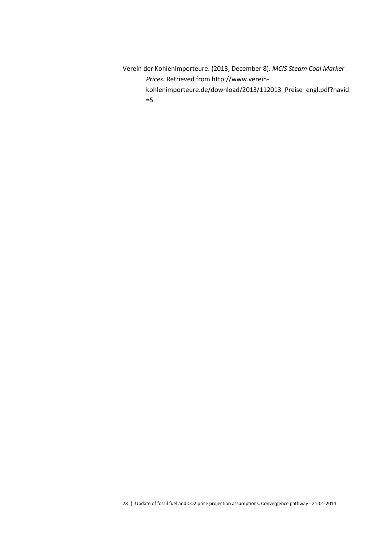Verein der Kohlenimporteure. (2013, December 8). *MCIS Steam Coal Marker Prices.* Retrieved from http://www.vereinkohlenimporteure.de/download/2013/112013\_Preise\_engl.pdf?navid =5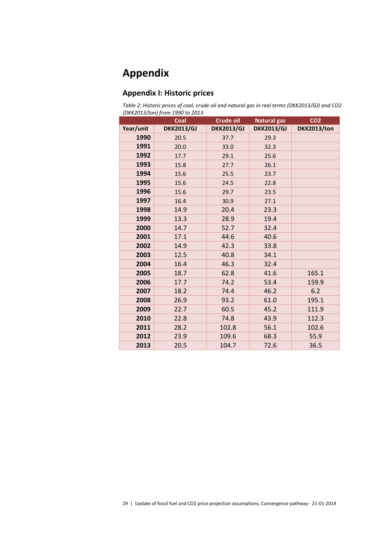# **Appendix**

# **Appendix I: Historic prices**

*Table 2: Historic prices of coal, crude oil and natural gas in real terms (DKK2013/GJ) and CO2 (DKK2013/ton) from 1990 to 2013* 

|           | Coal              | <b>Crude oil</b>  | <b>Natural gas</b> | CO <sub>2</sub> |
|-----------|-------------------|-------------------|--------------------|-----------------|
| Year/unit | <b>DKK2013/GJ</b> | <b>DKK2013/GJ</b> | <b>DKK2013/GJ</b>  | DKK2013/ton     |
| 1990      | 20.5              | 37.7              | 29.3               |                 |
| 1991      | 20.0              | 33.0              | 32.3               |                 |
| 1992      | 17.7              | 29.1              | 25.6               |                 |
| 1993      | 15.8              | 27.7              | 26.1               |                 |
| 1994      | 15.6              | 25.5              | 23.7               |                 |
| 1995      | 15.6              | 24.5              | 22.8               |                 |
| 1996      | 15.6              | 29.7              | 23.5               |                 |
| 1997      | 16.4              | 30.9              | 27.1               |                 |
| 1998      | 14.9              | 20.4              | 23.3               |                 |
| 1999      | 13.3              | 28.9              | 19.4               |                 |
| 2000      | 14.7              | 52.7              | 32.4               |                 |
| 2001      | 17.1              | 44.6              | 40.6               |                 |
| 2002      | 14.9              | 42.3              | 33.8               |                 |
| 2003      | 12.5              | 40.8              | 34.1               |                 |
| 2004      | 16.4              | 46.3              | 32.4               |                 |
| 2005      | 18.7              | 62.8              | 41.6               | 165.1           |
| 2006      | 17.7              | 74.2              | 53.4               | 159.9           |
| 2007      | 18.2              | 74.4              | 46.2               | 6.2             |
| 2008      | 26.9              | 93.2              | 61.0               | 195.1           |
| 2009      | 22.7              | 60.5              | 45.2               | 111.9           |
| 2010      | 22.8              | 74.8              | 43.9               | 112.3           |
| 2011      | 28.2              | 102.8             | 56.1               | 102.6           |
| 2012      | 23.9              | 109.6             | 68.3               | 55.9            |
| 2013      | 20.5              | 104.7             | 72.6               | 36.5            |